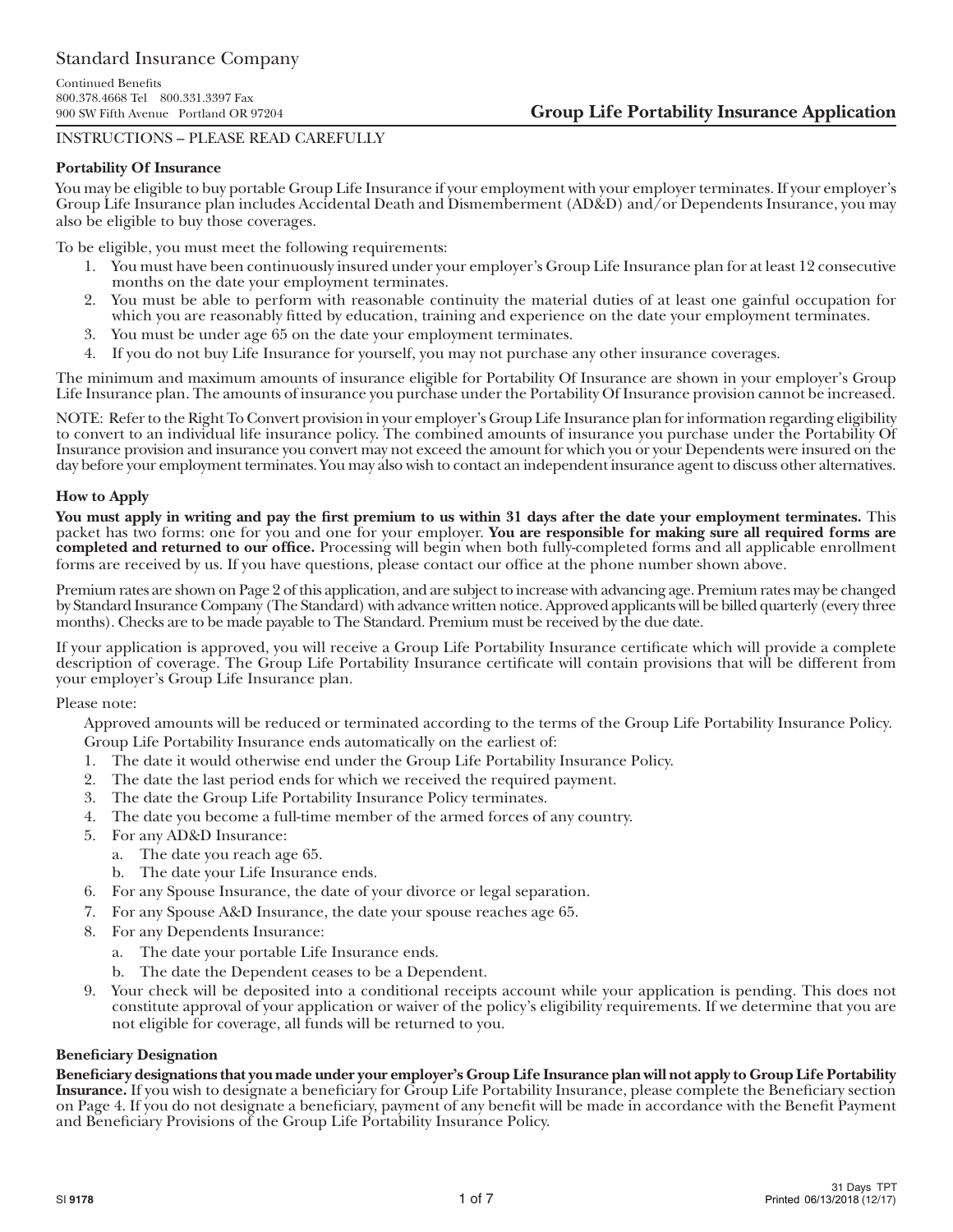# INSTRUCTIONS – PLEASE READ CAREFULLY

#### **Portability Of Insurance**

You may be eligible to buy portable Group Life Insurance if your employment with your employer terminates. If your employer's Group Life Insurance plan includes Accidental Death and Dismemberment (AD&D) and/or Dependents Insurance, you may also be eligible to buy those coverages.

To be eligible, you must meet the following requirements:

- 1. You must have been continuously insured under your employer's Group Life Insurance plan for at least 12 consecutive months on the date your employment terminates.
- 2. You must be able to perform with reasonable continuity the material duties of at least one gainful occupation for which you are reasonably fitted by education, training and experience on the date your employment terminates.
- 3. You must be under age 65 on the date your employment terminates.
- 4. If you do not buy Life Insurance for yourself, you may not purchase any other insurance coverages.

The minimum and maximum amounts of insurance eligible for Portability Of Insurance are shown in your employer's Group Life Insurance plan. The amounts of insurance you purchase under the Portability Of Insurance provision cannot be increased.

NOTE: Refer to the Right To Convert provision in your employer's Group Life Insurance plan for information regarding eligibility to convert to an individual life insurance policy. The combined amounts of insurance you purchase under the Portability Of Insurance provision and insurance you convert may not exceed the amount for which you or your Dependents were insured on the day before your employment terminates. You may also wish to contact an independent insurance agent to discuss other alternatives.

#### **How to Apply**

**You must apply in writing and pay the first premium to us within 31 days after the date your employment terminates.** This packet has two forms: one for you and one for your employer. **You are responsible for making sure all required forms are completed and returned to our office.** Processing will begin when both fully-completed forms and all applicable enrollment forms are received by us. If you have questions, please contact our office at the phone number shown above.

Premium rates are shown on Page 2 of this application, and are subject to increase with advancing age. Premium rates may be changed by Standard Insurance Company (The Standard) with advance written notice. Approved applicants will be billed quarterly (every three months). Checks are to be made payable to The Standard. Premium must be received by the due date.

If your application is approved, you will receive a Group Life Portability Insurance certificate which will provide a complete description of coverage. The Group Life Portability Insurance certificate will contain provisions that will be different from your employer's Group Life Insurance plan.

#### Please note:

Approved amounts will be reduced or terminated according to the terms of the Group Life Portability Insurance Policy. Group Life Portability Insurance ends automatically on the earliest of:

- 1. The date it would otherwise end under the Group Life Portability Insurance Policy.
- 2. The date the last period ends for which we received the required payment.
- 3. The date the Group Life Portability Insurance Policy terminates.
- 4. The date you become a full-time member of the armed forces of any country.
- 5. For any AD&D Insurance:
	- a. The date you reach age 65.
	- b. The date your Life Insurance ends.
- 6. For any Spouse Insurance, the date of your divorce or legal separation.
- 7. For any Spouse A&D Insurance, the date your spouse reaches age 65.
- 8. For any Dependents Insurance:
	- a. The date your portable Life Insurance ends.
	- b. The date the Dependent ceases to be a Dependent.
- 9. Your check will be deposited into a conditional receipts account while your application is pending. This does not constitute approval of your application or waiver of the policy's eligibility requirements. If we determine that you are not eligible for coverage, all funds will be returned to you.

#### **Beneficiary Designation**

**Beneficiary designations that you made under your employer's Group Life Insurance plan will not apply to Group Life Portability Insurance.** If you wish to designate a beneficiary for Group Life Portability Insurance, please complete the Beneficiary section on Page 4. If you do not designate a beneficiary, payment of any benefit will be made in accordance with the Benefit Payment and Beneficiary Provisions of the Group Life Portability Insurance Policy.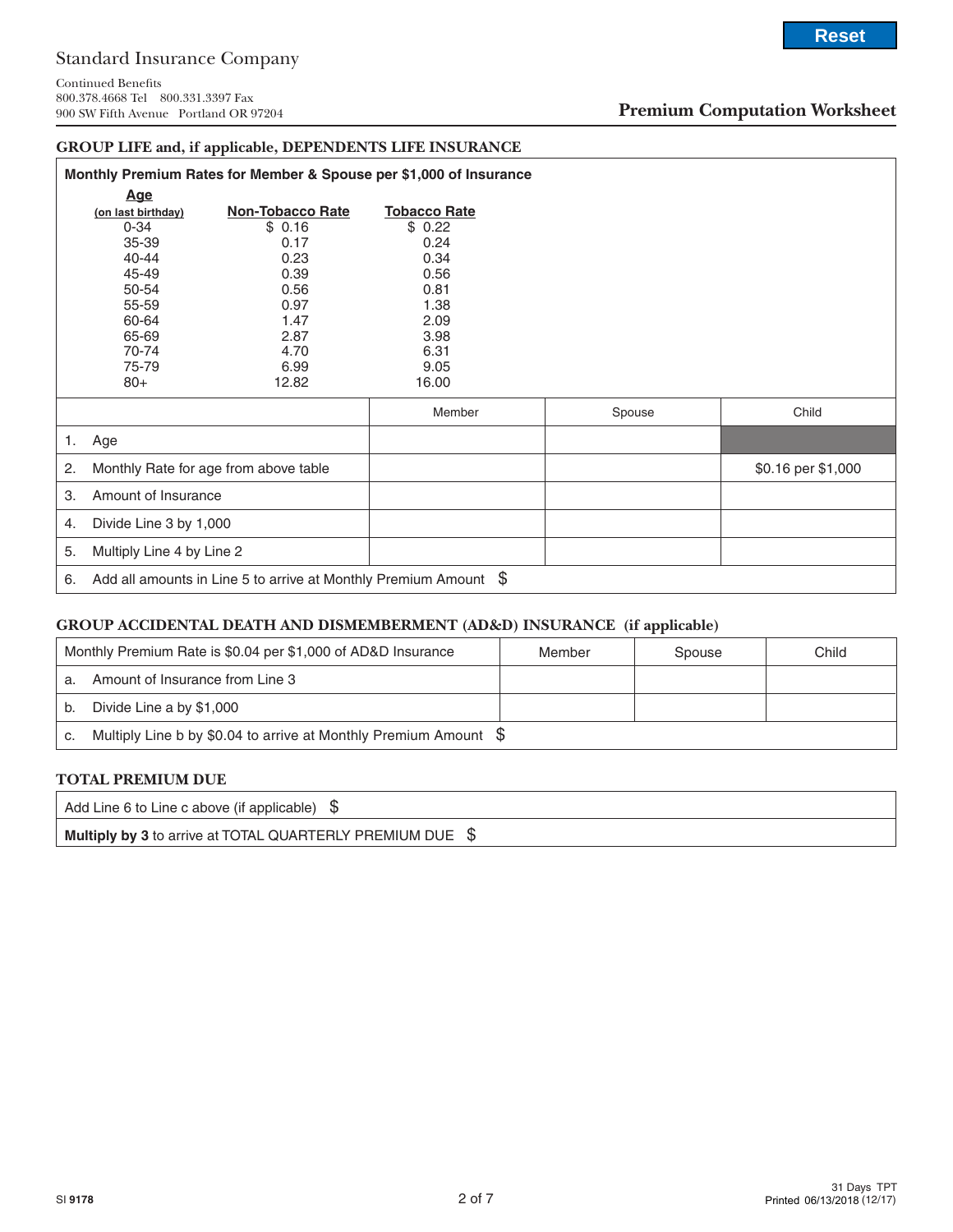# **Premium Computation Worksheet**

**Reset**

# **GROUP LIFE and, if applicable, DEPENDENTS LIFE INSURANCE**

|    | Monthly Premium Rates for Member & Spouse per \$1,000 of Insurance |                                       |                     |        |                    |  |  |
|----|--------------------------------------------------------------------|---------------------------------------|---------------------|--------|--------------------|--|--|
|    | <u>Age</u>                                                         |                                       |                     |        |                    |  |  |
|    | (on last birthday)                                                 | <b>Non-Tobacco Rate</b>               | <b>Tobacco Rate</b> |        |                    |  |  |
|    | $0 - 34$                                                           | \$0.16                                | \$0.22              |        |                    |  |  |
|    | 35-39                                                              | 0.17                                  | 0.24                |        |                    |  |  |
|    | $40 - 44$                                                          | 0.23                                  | 0.34                |        |                    |  |  |
|    | 45-49                                                              | 0.39                                  | 0.56                |        |                    |  |  |
|    | 50-54                                                              | 0.56                                  | 0.81                |        |                    |  |  |
|    | 55-59                                                              | 0.97                                  | 1.38                |        |                    |  |  |
|    | 60-64                                                              | 1.47                                  | 2.09                |        |                    |  |  |
|    | 65-69                                                              | 2.87                                  | 3.98                |        |                    |  |  |
|    | 70-74                                                              | 4.70                                  | 6.31                |        |                    |  |  |
|    | 75-79                                                              | 6.99                                  | 9.05                |        |                    |  |  |
|    | $80+$                                                              | 12.82                                 | 16.00               |        |                    |  |  |
|    |                                                                    |                                       | Member              | Spouse | Child              |  |  |
| 1. | Age                                                                |                                       |                     |        |                    |  |  |
| 2. |                                                                    | Monthly Rate for age from above table |                     |        | \$0.16 per \$1,000 |  |  |
| 3. | Amount of Insurance                                                |                                       |                     |        |                    |  |  |
| 4. | Divide Line 3 by 1,000                                             |                                       |                     |        |                    |  |  |
| 5. | Multiply Line 4 by Line 2                                          |                                       |                     |        |                    |  |  |
| 6. | Add all amounts in Line 5 to arrive at Monthly Premium Amount $\$  |                                       |                     |        |                    |  |  |

#### **GROUP ACCIDENTAL DEATH AND DISMEMBERMENT (AD&D) INSURANCE (if applicable)**

| Monthly Premium Rate is \$0.04 per \$1,000 of AD&D Insurance |                                                                   | Member | Spouse | Child |
|--------------------------------------------------------------|-------------------------------------------------------------------|--------|--------|-------|
| Amount of Insurance from Line 3<br>a.                        |                                                                   |        |        |       |
| Divide Line a by \$1,000<br>b.                               |                                                                   |        |        |       |
| C.                                                           | Multiply Line b by \$0.04 to arrive at Monthly Premium Amount $\$ |        |        |       |

#### **TOTAL PREMIUM DUE**

Add Line 6 to Line c above (if applicable)  $\$$ **Multiply by 3** to arrive at TOTAL QUARTERLY PREMIUM DUE \$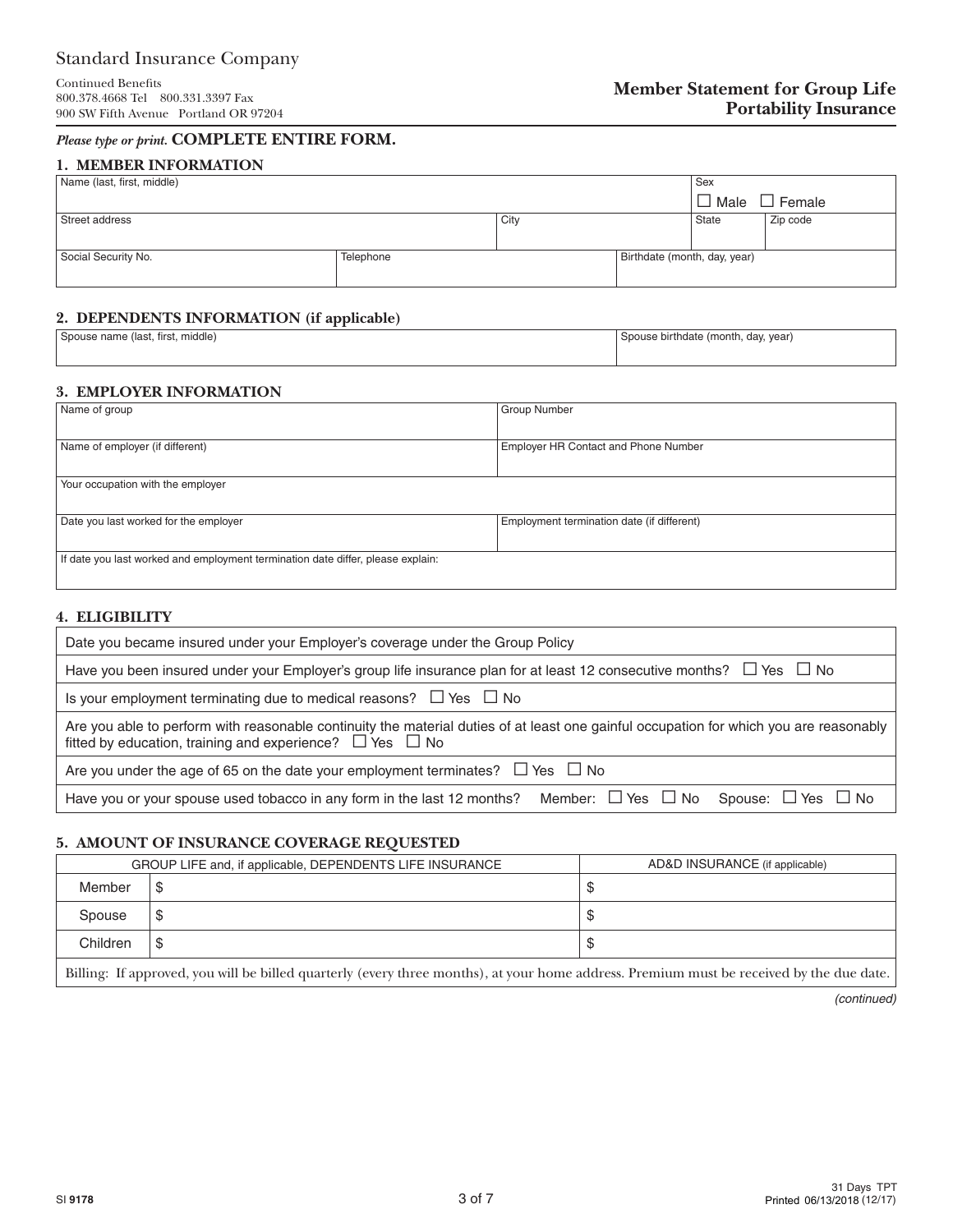# Standard Insurance Company

# *Please type or print.* **COMPLETE ENTIRE FORM.**

#### **1. MEMBER INFORMATION**

| Name (last, first, middle) |           |      |                              | Sex          |          |
|----------------------------|-----------|------|------------------------------|--------------|----------|
|                            |           |      |                              | Male         | Female   |
| Street address             |           | City |                              | <b>State</b> | Zip code |
|                            |           |      |                              |              |          |
| Social Security No.        | Telephone |      | Birthdate (month, day, year) |              |          |
|                            |           |      |                              |              |          |

# **2. DEPENDENTS INFORMATION (if applicable)**

| Spouse name (last, first, middle) | Spouse birthdate (month, day, year) |
|-----------------------------------|-------------------------------------|
|                                   |                                     |

#### **3. EMPLOYER INFORMATION**

| Name of group                                                                   | <b>Group Number</b>                        |  |  |  |  |
|---------------------------------------------------------------------------------|--------------------------------------------|--|--|--|--|
|                                                                                 |                                            |  |  |  |  |
| Name of employer (if different)                                                 | Employer HR Contact and Phone Number       |  |  |  |  |
|                                                                                 |                                            |  |  |  |  |
| Your occupation with the employer                                               |                                            |  |  |  |  |
|                                                                                 |                                            |  |  |  |  |
| Date you last worked for the employer                                           | Employment termination date (if different) |  |  |  |  |
|                                                                                 |                                            |  |  |  |  |
| If date you last worked and employment termination date differ, please explain: |                                            |  |  |  |  |
|                                                                                 |                                            |  |  |  |  |

# **4. ELIGIBILITY**

| Date you became insured under your Employer's coverage under the Group Policy                                                                                                                                |  |  |  |
|--------------------------------------------------------------------------------------------------------------------------------------------------------------------------------------------------------------|--|--|--|
| Have you been insured under your Employer's group life insurance plan for at least 12 consecutive months? $\Box$ Yes $\Box$ No                                                                               |  |  |  |
| Is your employment terminating due to medical reasons? $\Box$ Yes $\Box$ No                                                                                                                                  |  |  |  |
| Are you able to perform with reasonable continuity the material duties of at least one gainful occupation for which you are reasonably<br>fitted by education, training and experience? $\Box$ Yes $\Box$ No |  |  |  |
| Are you under the age of 65 on the date your employment terminates? $\Box$ Yes $\Box$ No                                                                                                                     |  |  |  |
| Have you or your spouse used tobacco in any form in the last 12 months? Member: $\Box$ Yes $\Box$ No Spouse: $\Box$ Yes $\Box$ No                                                                            |  |  |  |

# **5. AMOUNT OF INSURANCE COVERAGE REQUESTED**

|                                                                                                                                   | GROUP LIFE and, if applicable, DEPENDENTS LIFE INSURANCE | AD&D INSURANCE (if applicable) |  |  |
|-----------------------------------------------------------------------------------------------------------------------------------|----------------------------------------------------------|--------------------------------|--|--|
| Member                                                                                                                            | ъ                                                        |                                |  |  |
| Spouse                                                                                                                            | ъ                                                        | ۰D                             |  |  |
| Children                                                                                                                          | S                                                        | ۰D                             |  |  |
| T111<br>$T$ $C$<br>. 11. 1991 . 1992 . 1994 . 1994 . 1994 . 1994 . 1994 . 1994 . 1994 . 1994 . 1994 . 1994 . 1994 . 1994 . 1994 . |                                                          |                                |  |  |

Billing: If approved, you will be billed quarterly (every three months), at your home address. Premium must be received by the due date.

*(continued)*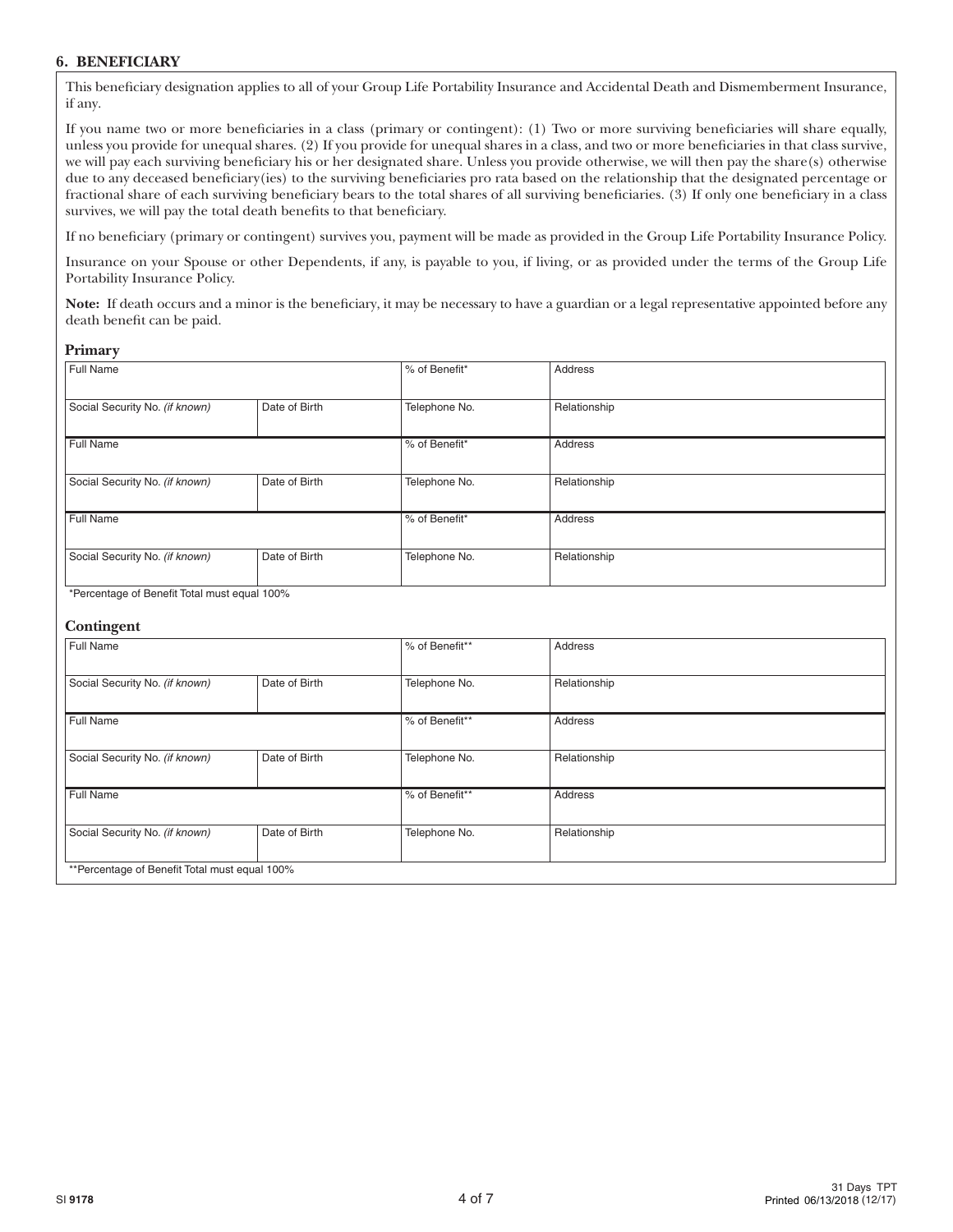# **6. BENEFICIARY**

This beneficiary designation applies to all of your Group Life Portability Insurance and Accidental Death and Dismemberment Insurance, if any.

If you name two or more beneficiaries in a class (primary or contingent): (1) Two or more surviving beneficiaries will share equally, unless you provide for unequal shares. (2) If you provide for unequal shares in a class, and two or more beneficiaries in that class survive, we will pay each surviving beneficiary his or her designated share. Unless you provide otherwise, we will then pay the share(s) otherwise due to any deceased beneficiary(ies) to the surviving beneficiaries pro rata based on the relationship that the designated percentage or fractional share of each surviving beneficiary bears to the total shares of all surviving beneficiaries. (3) If only one beneficiary in a class survives, we will pay the total death benefits to that beneficiary.

If no beneficiary (primary or contingent) survives you, payment will be made as provided in the Group Life Portability Insurance Policy.

Insurance on your Spouse or other Dependents, if any, is payable to you, if living, or as provided under the terms of the Group Life Portability Insurance Policy.

**Note:** If death occurs and a minor is the beneficiary, it may be necessary to have a guardian or a legal representative appointed before any death benefit can be paid.

#### **Primary**

| Full Name                                       |               | % of Benefit* | Address      |  |  |
|-------------------------------------------------|---------------|---------------|--------------|--|--|
| Social Security No. (if known)                  | Date of Birth | Telephone No. | Relationship |  |  |
| Full Name                                       |               | % of Benefit* | Address      |  |  |
| Social Security No. (if known)                  | Date of Birth | Telephone No. | Relationship |  |  |
| <b>Full Name</b>                                |               | % of Benefit* | Address      |  |  |
| Social Security No. (if known)<br>Date of Birth |               | Telephone No. | Relationship |  |  |
| *Persontage of Penefit Total must caugh 100%    |               |               |              |  |  |

\*Percentage of Benefit Total must equal 100%

#### **Contingent**

| Full Name                                     |               | % of Benefit** | Address      |  |
|-----------------------------------------------|---------------|----------------|--------------|--|
| Social Security No. (if known)                | Date of Birth | Telephone No.  | Relationship |  |
| Full Name                                     |               | % of Benefit** | Address      |  |
| Social Security No. (if known)                | Date of Birth | Telephone No.  | Relationship |  |
| Full Name                                     |               | % of Benefit** | Address      |  |
| Social Security No. (if known)                | Date of Birth | Telephone No.  | Relationship |  |
| **Percentage of Benefit Total must equal 100% |               |                |              |  |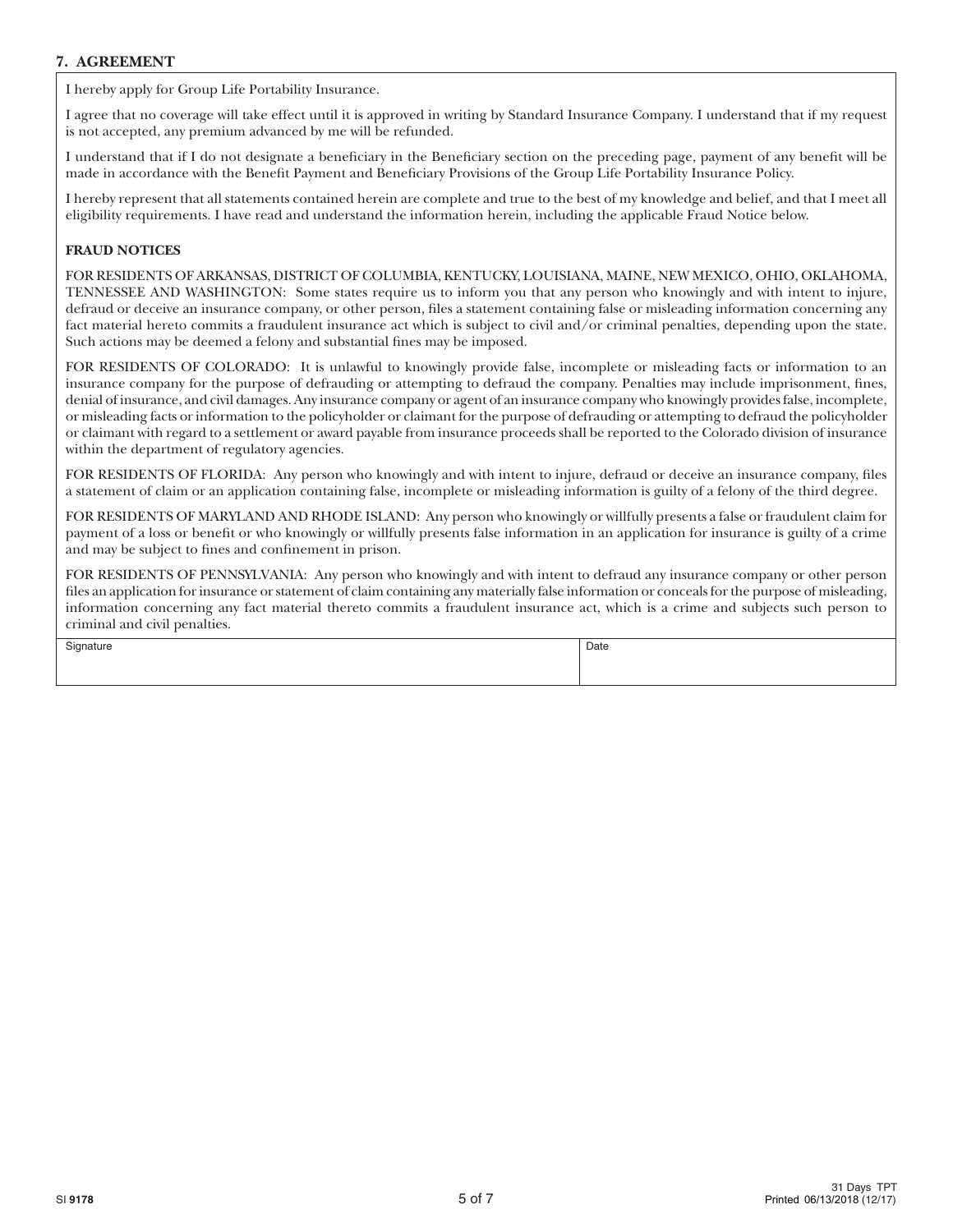# **7. AGREEMENT**

I hereby apply for Group Life Portability Insurance.

I agree that no coverage will take effect until it is approved in writing by Standard Insurance Company. I understand that if my request is not accepted, any premium advanced by me will be refunded.

I understand that if I do not designate a beneficiary in the Beneficiary section on the preceding page, payment of any benefit will be made in accordance with the Benefit Payment and Beneficiary Provisions of the Group Life Portability Insurance Policy.

I hereby represent that all statements contained herein are complete and true to the best of my knowledge and belief, and that I meet all eligibility requirements. I have read and understand the information herein, including the applicable Fraud Notice below.

# **FRAUD NOTICES**

FOR RESIDENTS OF ARKANSAS, DISTRICT OF COLUMBIA, KENTUCKY, LOUISIANA, MAINE, NEW MEXICO, OHIO, OKLAHOMA, TENNESSEE AND WASHINGTON: Some states require us to inform you that any person who knowingly and with intent to injure, defraud or deceive an insurance company, or other person, files a statement containing false or misleading information concerning any fact material hereto commits a fraudulent insurance act which is subject to civil and/or criminal penalties, depending upon the state. Such actions may be deemed a felony and substantial fines may be imposed.

FOR RESIDENTS OF COLORADO: It is unlawful to knowingly provide false, incomplete or misleading facts or information to an insurance company for the purpose of defrauding or attempting to defraud the company. Penalties may include imprisonment, fines, denial of insurance, and civil damages. Any insurance company or agent of an insurance company who knowingly provides false, incomplete, or misleading facts or information to the policyholder or claimant for the purpose of defrauding or attempting to defraud the policyholder or claimant with regard to a settlement or award payable from insurance proceeds shall be reported to the Colorado division of insurance within the department of regulatory agencies.

FOR RESIDENTS OF FLORIDA: Any person who knowingly and with intent to injure, defraud or deceive an insurance company, files a statement of claim or an application containing false, incomplete or misleading information is guilty of a felony of the third degree.

FOR RESIDENTS OF MARYLAND AND RHODE ISLAND: Any person who knowingly or willfully presents a false or fraudulent claim for payment of a loss or benefit or who knowingly or willfully presents false information in an application for insurance is guilty of a crime and may be subject to fines and confinement in prison.

FOR RESIDENTS OF PENNSYLVANIA: Any person who knowingly and with intent to defraud any insurance company or other person files an application for insurance or statement of claim containing any materially false information or conceals for the purpose of misleading, information concerning any fact material thereto commits a fraudulent insurance act, which is a crime and subjects such person to criminal and civil penalties.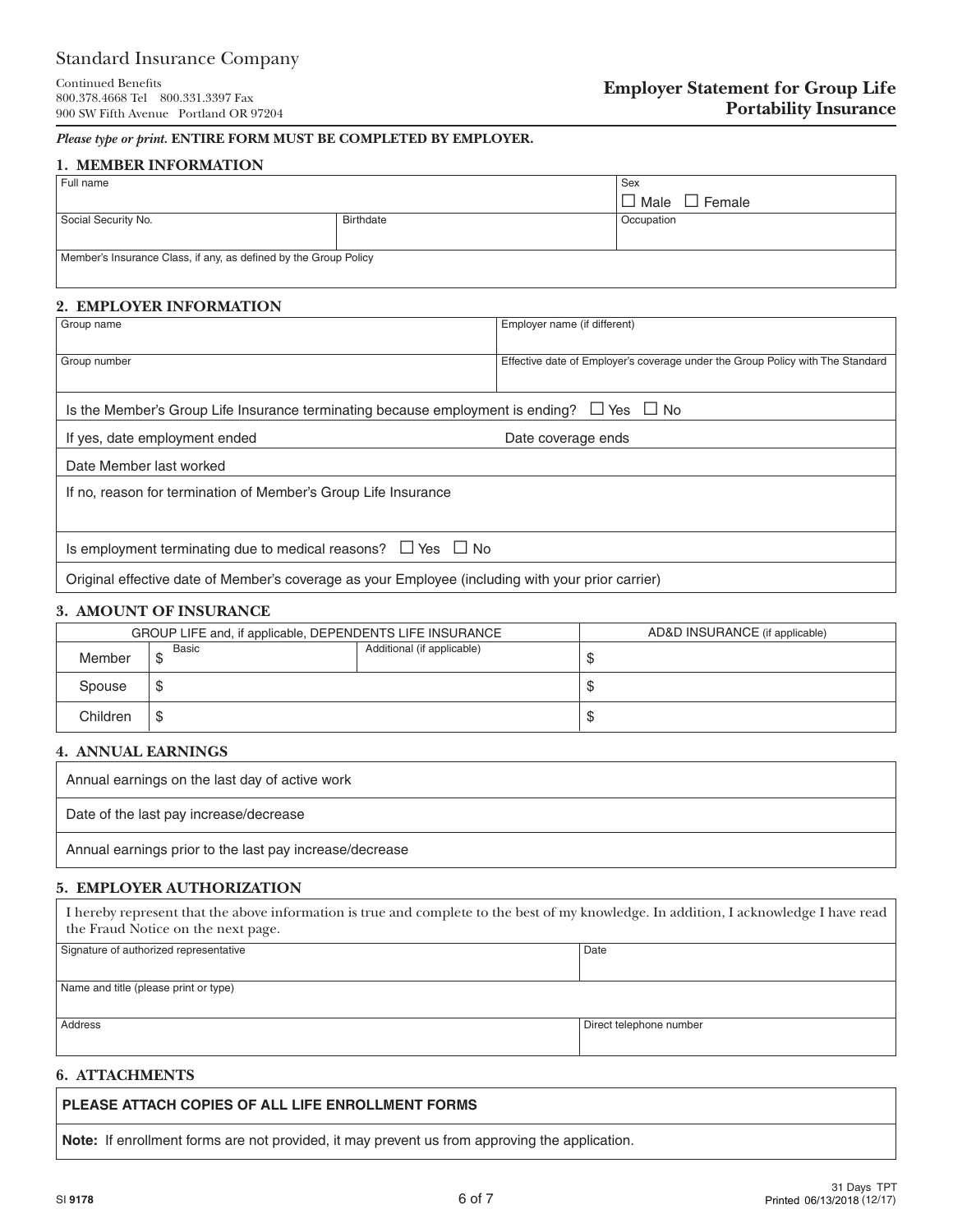# Standard Insurance Company

#### *Please type or print.* **ENTIRE FORM MUST BE COMPLETED BY EMPLOYER.**

#### **1. MEMBER INFORMATION**

| Full name                                                        | Sex              |                  |  |  |
|------------------------------------------------------------------|------------------|------------------|--|--|
|                                                                  |                  | Male<br>l Female |  |  |
| Social Security No.                                              | <b>Birthdate</b> | Occupation       |  |  |
|                                                                  |                  |                  |  |  |
|                                                                  |                  |                  |  |  |
| Member's Insurance Class, if any, as defined by the Group Policy |                  |                  |  |  |
|                                                                  |                  |                  |  |  |
|                                                                  |                  |                  |  |  |

#### **2. EMPLOYER INFORMATION**

| Group name                                                                                                | Employer name (if different)                                                   |  |  |  |
|-----------------------------------------------------------------------------------------------------------|--------------------------------------------------------------------------------|--|--|--|
| Group number                                                                                              | Effective date of Employer's coverage under the Group Policy with The Standard |  |  |  |
|                                                                                                           |                                                                                |  |  |  |
| Is the Member's Group Life Insurance terminating because employment is ending? $\square$ Yes $\square$ No |                                                                                |  |  |  |
| If yes, date employment ended                                                                             | Date coverage ends                                                             |  |  |  |
| Date Member last worked                                                                                   |                                                                                |  |  |  |
| If no, reason for termination of Member's Group Life Insurance                                            |                                                                                |  |  |  |
|                                                                                                           |                                                                                |  |  |  |
| Is employment terminating due to medical reasons? $\Box$ Yes $\Box$ No                                    |                                                                                |  |  |  |
| Original effective date of Member's coverage as your Employee (including with your prior carrier)         |                                                                                |  |  |  |

#### **3. AMOUNT OF INSURANCE**

| GROUP LIFE and, if applicable, DEPENDENTS LIFE INSURANCE |            |                            | AD&D INSURANCE (if applicable) |
|----------------------------------------------------------|------------|----------------------------|--------------------------------|
| Member                                                   | Basic<br>− | Additional (if applicable) | w                              |
| Spouse                                                   | œ          |                            | w                              |
| Children                                                 | S          |                            | w                              |

# **4. ANNUAL EARNINGS**

| Annual earnings on the last day of active work          |
|---------------------------------------------------------|
| Date of the last pay increase/decrease                  |
| Annual earnings prior to the last pay increase/decrease |

#### **5. EMPLOYER AUTHORIZATION**

| I hereby represent that the above information is true and complete to the best of my knowledge. In addition, I acknowledge I have read<br>the Fraud Notice on the next page. |                         |  |  |  |
|------------------------------------------------------------------------------------------------------------------------------------------------------------------------------|-------------------------|--|--|--|
| Signature of authorized representative                                                                                                                                       | Date                    |  |  |  |
| Name and title (please print or type)                                                                                                                                        |                         |  |  |  |
| Address                                                                                                                                                                      | Direct telephone number |  |  |  |

#### **6. ATTACHMENTS**

# **PLEASE ATTACH COPIES OF ALL LIFE ENROLLMENT FORMS**

**Note:** If enrollment forms are not provided, it may prevent us from approving the application.